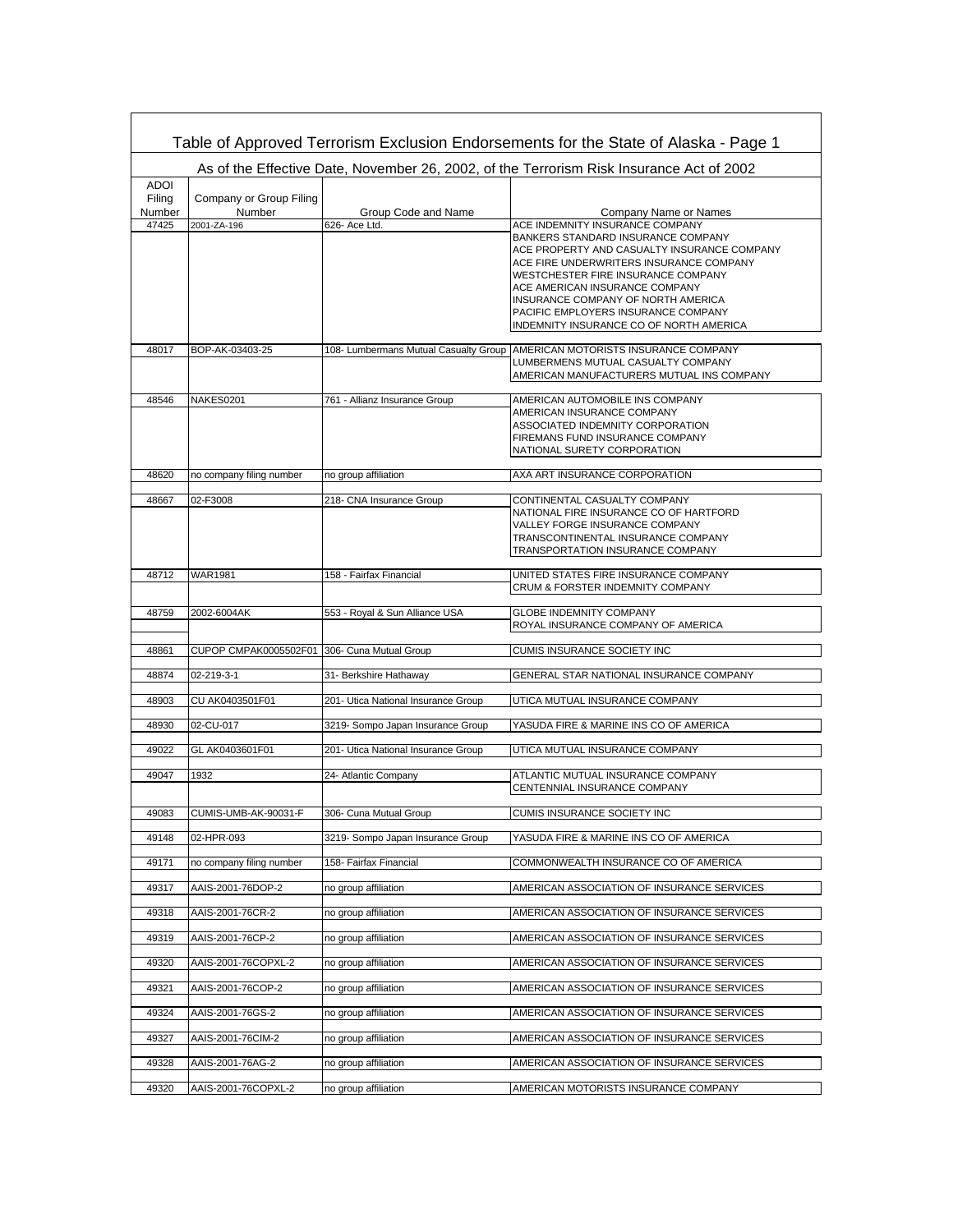| Table of Approved Terrorism Exclusion Endorsements for the State of Alaska - Page 1      |                          |                                       |                                                                                                                      |  |  |  |  |
|------------------------------------------------------------------------------------------|--------------------------|---------------------------------------|----------------------------------------------------------------------------------------------------------------------|--|--|--|--|
| As of the Effective Date, November 26, 2002, of the Terrorism Risk Insurance Act of 2002 |                          |                                       |                                                                                                                      |  |  |  |  |
| <b>ADOI</b><br>Filing                                                                    | Company or Group Filing  |                                       |                                                                                                                      |  |  |  |  |
| Number                                                                                   | Number                   | Group Code and Name                   | Company Name or Names                                                                                                |  |  |  |  |
| 47425                                                                                    | 2001-ZA-196              | 626- Ace Ltd.                         | ACE INDEMNITY INSURANCE COMPANY<br>BANKERS STANDARD INSURANCE COMPANY<br>ACE PROPERTY AND CASUALTY INSURANCE COMPANY |  |  |  |  |
|                                                                                          |                          |                                       | ACE FIRE UNDERWRITERS INSURANCE COMPANY<br>WESTCHESTER FIRE INSURANCE COMPANY                                        |  |  |  |  |
|                                                                                          |                          |                                       | ACE AMERICAN INSURANCE COMPANY<br>INSURANCE COMPANY OF NORTH AMERICA                                                 |  |  |  |  |
|                                                                                          |                          |                                       | PACIFIC EMPLOYERS INSURANCE COMPANY<br>INDEMNITY INSURANCE CO OF NORTH AMERICA                                       |  |  |  |  |
| 48017                                                                                    | BOP-AK-03403-25          | 108- Lumbermans Mutual Casualty Group | AMERICAN MOTORISTS INSURANCE COMPANY                                                                                 |  |  |  |  |
|                                                                                          |                          |                                       | LUMBERMENS MUTUAL CASUALTY COMPANY<br>AMERICAN MANUFACTURERS MUTUAL INS COMPANY                                      |  |  |  |  |
| 48546                                                                                    | NAKES0201                | 761 - Allianz Insurance Group         | AMERICAN AUTOMOBILE INS COMPANY                                                                                      |  |  |  |  |
|                                                                                          |                          |                                       | AMERICAN INSURANCE COMPANY<br>ASSOCIATED INDEMNITY CORPORATION                                                       |  |  |  |  |
|                                                                                          |                          |                                       | FIREMANS FUND INSURANCE COMPANY<br>NATIONAL SURETY CORPORATION                                                       |  |  |  |  |
| 48620                                                                                    | no company filing number | no group affiliation                  | AXA ART INSURANCE CORPORATION                                                                                        |  |  |  |  |
| 48667                                                                                    | 02-F3008                 | 218- CNA Insurance Group              | CONTINENTAL CASUALTY COMPANY                                                                                         |  |  |  |  |
|                                                                                          |                          |                                       | NATIONAL FIRE INSURANCE CO OF HARTFORD<br>VALLEY FORGE INSURANCE COMPANY                                             |  |  |  |  |
|                                                                                          |                          |                                       | TRANSCONTINENTAL INSURANCE COMPANY                                                                                   |  |  |  |  |
|                                                                                          |                          |                                       | TRANSPORTATION INSURANCE COMPANY                                                                                     |  |  |  |  |
| 48712                                                                                    | <b>WAR1981</b>           | 158 - Fairfax Financial               | UNITED STATES FIRE INSURANCE COMPANY<br>CRUM & FORSTER INDEMNITY COMPANY                                             |  |  |  |  |
| 48759                                                                                    | 2002-6004AK              | 553 - Royal & Sun Alliance USA        | <b>GLOBE INDEMNITY COMPANY</b>                                                                                       |  |  |  |  |
|                                                                                          |                          |                                       | ROYAL INSURANCE COMPANY OF AMERICA                                                                                   |  |  |  |  |
| 48861                                                                                    | CUPOP CMPAK0005502F01    | 306- Cuna Mutual Group                | CUMIS INSURANCE SOCIETY INC                                                                                          |  |  |  |  |
| 48874                                                                                    | 02-219-3-1               | 31- Berkshire Hathaway                | GENERAL STAR NATIONAL INSURANCE COMPANY                                                                              |  |  |  |  |
| 48903                                                                                    | CU AK0403501F01          | 201- Utica National Insurance Group   | UTICA MUTUAL INSURANCE COMPANY                                                                                       |  |  |  |  |
| 48930                                                                                    | 02-CU-017                | 3219- Sompo Japan Insurance Group     | YASUDA FIRE & MARINE INS CO OF AMERICA                                                                               |  |  |  |  |
| 49022                                                                                    | GL AK0403601F01          | 201- Utica National Insurance Group   | UTICA MUTUAL INSURANCE COMPANY                                                                                       |  |  |  |  |
| 49047                                                                                    | 1932                     | 24- Atlantic Company                  | ATLANTIC MUTUAL INSURANCE COMPANY<br>CENTENNIAL INSURANCE COMPANY                                                    |  |  |  |  |
| 49083                                                                                    | CUMIS-UMB-AK-90031-F     | 306- Cuna Mutual Group                | CUMIS INSURANCE SOCIETY INC                                                                                          |  |  |  |  |
| 49148                                                                                    | 02-HPR-093               | 3219- Sompo Japan Insurance Group     | YASUDA FIRE & MARINE INS CO OF AMERICA                                                                               |  |  |  |  |
| 49171                                                                                    | no company filing number | 158- Fairfax Financial                | COMMONWEALTH INSURANCE CO OF AMERICA                                                                                 |  |  |  |  |
| 49317                                                                                    | AAIS-2001-76DOP-2        | no group affiliation                  | AMERICAN ASSOCIATION OF INSURANCE SERVICES                                                                           |  |  |  |  |
| 49318                                                                                    | AAIS-2001-76CR-2         | no group affiliation                  | AMERICAN ASSOCIATION OF INSURANCE SERVICES                                                                           |  |  |  |  |
| 49319                                                                                    | AAIS-2001-76CP-2         | no group affiliation                  | AMERICAN ASSOCIATION OF INSURANCE SERVICES                                                                           |  |  |  |  |
| 49320                                                                                    | AAIS-2001-76COPXL-2      | no group affiliation                  | AMERICAN ASSOCIATION OF INSURANCE SERVICES                                                                           |  |  |  |  |
| 49321                                                                                    | AAIS-2001-76COP-2        | no group affiliation                  | AMERICAN ASSOCIATION OF INSURANCE SERVICES                                                                           |  |  |  |  |
| 49324                                                                                    | AAIS-2001-76GS-2         | no group affiliation                  | AMERICAN ASSOCIATION OF INSURANCE SERVICES                                                                           |  |  |  |  |
| 49327                                                                                    | AAIS-2001-76CIM-2        | no group affiliation                  | AMERICAN ASSOCIATION OF INSURANCE SERVICES                                                                           |  |  |  |  |
| 49328                                                                                    | AAIS-2001-76AG-2         | no group affiliation                  | AMERICAN ASSOCIATION OF INSURANCE SERVICES                                                                           |  |  |  |  |
| 49320                                                                                    | AAIS-2001-76COPXL-2      | no group affiliation                  | AMERICAN MOTORISTS INSURANCE COMPANY                                                                                 |  |  |  |  |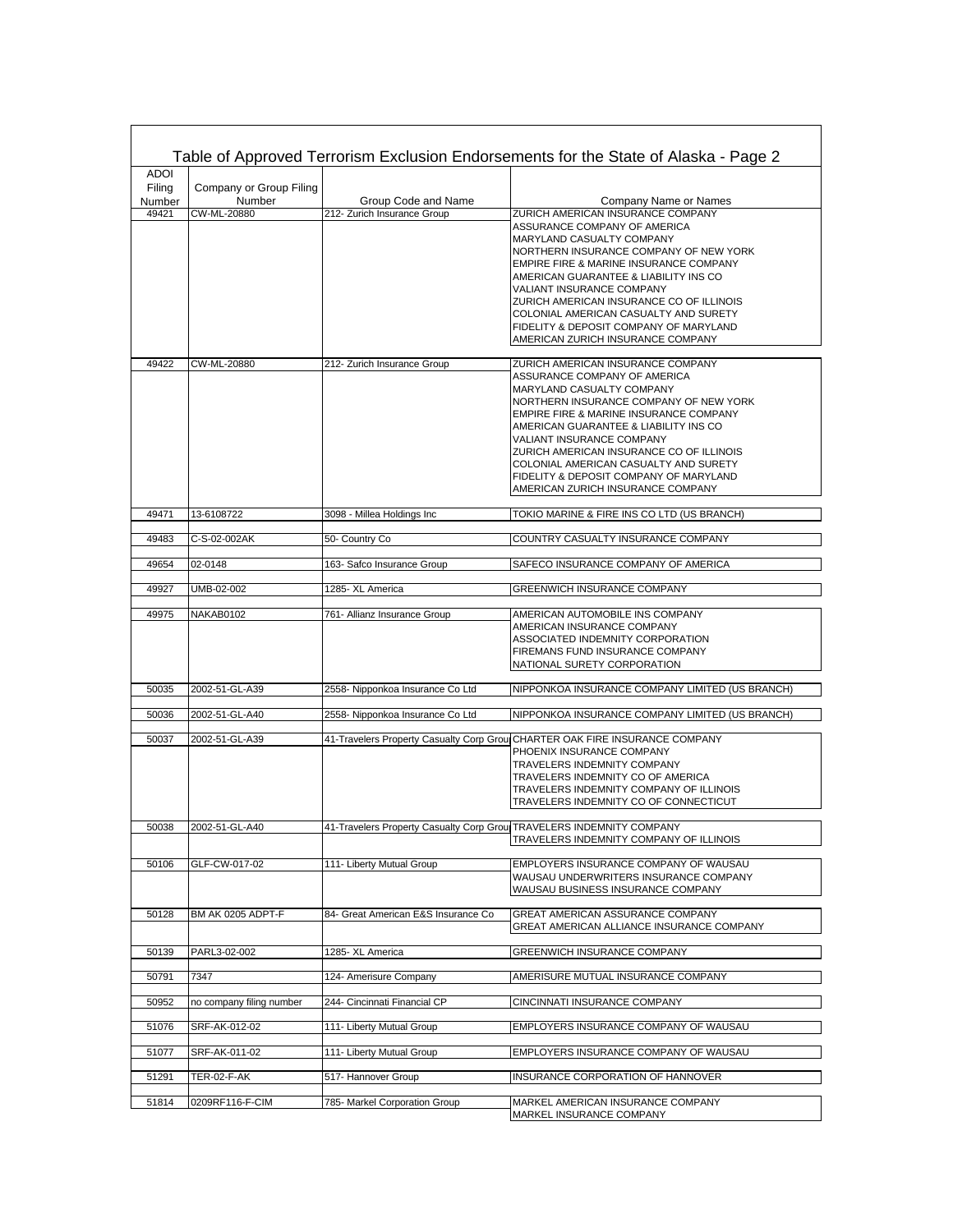| Table of Approved Terrorism Exclusion Endorsements for the State of Alaska - Page 2 |                          |                                                                      |                                                                                  |  |  |  |
|-------------------------------------------------------------------------------------|--------------------------|----------------------------------------------------------------------|----------------------------------------------------------------------------------|--|--|--|
| <b>ADOI</b><br>Filing                                                               | Company or Group Filing  |                                                                      |                                                                                  |  |  |  |
| Number                                                                              | Number                   | Group Code and Name                                                  | Company Name or Names                                                            |  |  |  |
| 49421                                                                               | CW-ML-20880              | 212- Zurich Insurance Group                                          | ZURICH AMERICAN INSURANCE COMPANY                                                |  |  |  |
|                                                                                     |                          |                                                                      | ASSURANCE COMPANY OF AMERICA                                                     |  |  |  |
|                                                                                     |                          |                                                                      | MARYLAND CASUALTY COMPANY                                                        |  |  |  |
|                                                                                     |                          |                                                                      | NORTHERN INSURANCE COMPANY OF NEW YORK                                           |  |  |  |
|                                                                                     |                          |                                                                      | EMPIRE FIRE & MARINE INSURANCE COMPANY<br>AMERICAN GUARANTEE & LIABILITY INS CO  |  |  |  |
|                                                                                     |                          |                                                                      | VALIANT INSURANCE COMPANY                                                        |  |  |  |
|                                                                                     |                          |                                                                      | ZURICH AMERICAN INSURANCE CO OF ILLINOIS                                         |  |  |  |
|                                                                                     |                          |                                                                      | COLONIAL AMERICAN CASUALTY AND SURETY                                            |  |  |  |
|                                                                                     |                          |                                                                      | FIDELITY & DEPOSIT COMPANY OF MARYLAND                                           |  |  |  |
|                                                                                     |                          |                                                                      | AMERICAN ZURICH INSURANCE COMPANY                                                |  |  |  |
|                                                                                     |                          |                                                                      |                                                                                  |  |  |  |
| 49422                                                                               | CW-ML-20880              | 212- Zurich Insurance Group                                          | ZURICH AMERICAN INSURANCE COMPANY                                                |  |  |  |
|                                                                                     |                          |                                                                      | ASSURANCE COMPANY OF AMERICA                                                     |  |  |  |
|                                                                                     |                          |                                                                      | MARYLAND CASUALTY COMPANY                                                        |  |  |  |
|                                                                                     |                          |                                                                      | NORTHERN INSURANCE COMPANY OF NEW YORK                                           |  |  |  |
|                                                                                     |                          |                                                                      | EMPIRE FIRE & MARINE INSURANCE COMPANY<br>AMERICAN GUARANTEE & LIABILITY INS CO  |  |  |  |
|                                                                                     |                          |                                                                      | VALIANT INSURANCE COMPANY                                                        |  |  |  |
|                                                                                     |                          |                                                                      | ZURICH AMERICAN INSURANCE CO OF ILLINOIS                                         |  |  |  |
|                                                                                     |                          |                                                                      | COLONIAL AMERICAN CASUALTY AND SURETY                                            |  |  |  |
|                                                                                     |                          |                                                                      | FIDELITY & DEPOSIT COMPANY OF MARYLAND                                           |  |  |  |
|                                                                                     |                          |                                                                      | AMERICAN ZURICH INSURANCE COMPANY                                                |  |  |  |
|                                                                                     |                          |                                                                      |                                                                                  |  |  |  |
| 49471                                                                               | 13-6108722               | 3098 - Millea Holdings Inc                                           | TOKIO MARINE & FIRE INS CO LTD (US BRANCH)                                       |  |  |  |
| 49483                                                                               | C-S-02-002AK             | 50- Country Co                                                       | COUNTRY CASUALTY INSURANCE COMPANY                                               |  |  |  |
| 49654                                                                               | 02-0148                  | 163- Safco Insurance Group                                           | SAFECO INSURANCE COMPANY OF AMERICA                                              |  |  |  |
| 49927                                                                               | UMB-02-002               | 1285- XL America                                                     | GREENWICH INSURANCE COMPANY                                                      |  |  |  |
| 49975                                                                               | NAKAB0102                | 761- Allianz Insurance Group                                         | AMERICAN AUTOMOBILE INS COMPANY                                                  |  |  |  |
|                                                                                     |                          |                                                                      | AMERICAN INSURANCE COMPANY                                                       |  |  |  |
|                                                                                     |                          |                                                                      | ASSOCIATED INDEMNITY CORPORATION<br>FIREMANS FUND INSURANCE COMPANY              |  |  |  |
|                                                                                     |                          |                                                                      | NATIONAL SURETY CORPORATION                                                      |  |  |  |
|                                                                                     |                          |                                                                      |                                                                                  |  |  |  |
| 50035                                                                               | 2002-51-GL-A39           | 2558- Nipponkoa Insurance Co Ltd                                     | NIPPONKOA INSURANCE COMPANY LIMITED (US BRANCH)                                  |  |  |  |
| 50036                                                                               | 2002-51-GL-A40           | 2558- Nipponkoa Insurance Co Ltd                                     | NIPPONKOA INSURANCE COMPANY LIMITED (US BRANCH)                                  |  |  |  |
| 50037                                                                               | 2002-51-GL-A39           | 41-Travelers Property Casualty Corp Group                            | CHARTER OAK FIRE INSURANCE COMPANY                                               |  |  |  |
|                                                                                     |                          |                                                                      | PHOENIX INSURANCE COMPANY                                                        |  |  |  |
|                                                                                     |                          |                                                                      | TRAVELERS INDEMNITY COMPANY                                                      |  |  |  |
|                                                                                     |                          |                                                                      | TRAVELERS INDEMNITY CO OF AMERICA                                                |  |  |  |
|                                                                                     |                          |                                                                      | TRAVELERS INDEMNITY COMPANY OF ILLINOIS<br>TRAVELERS INDEMNITY CO OF CONNECTICUT |  |  |  |
|                                                                                     |                          |                                                                      |                                                                                  |  |  |  |
| 50038                                                                               | 2002-51-GL-A40           | 41-Travelers Property Casualty Corp Grou TRAVELERS INDEMNITY COMPANY |                                                                                  |  |  |  |
|                                                                                     |                          |                                                                      | TRAVELERS INDEMNITY COMPANY OF ILLINOIS                                          |  |  |  |
|                                                                                     |                          |                                                                      |                                                                                  |  |  |  |
| 50106                                                                               | GLF-CW-017-02            | 111- Liberty Mutual Group                                            | EMPLOYERS INSURANCE COMPANY OF WAUSAU<br>WAUSAU UNDERWRITERS INSURANCE COMPANY   |  |  |  |
|                                                                                     |                          |                                                                      | WAUSAU BUSINESS INSURANCE COMPANY                                                |  |  |  |
|                                                                                     |                          |                                                                      |                                                                                  |  |  |  |
| 50128                                                                               | BM AK 0205 ADPT-F        | 84- Great American E&S Insurance Co                                  | <b>GREAT AMERICAN ASSURANCE COMPANY</b>                                          |  |  |  |
|                                                                                     |                          |                                                                      | GREAT AMERICAN ALLIANCE INSURANCE COMPANY                                        |  |  |  |
| 50139                                                                               | PARL3-02-002             | 1285- XL America                                                     | GREENWICH INSURANCE COMPANY                                                      |  |  |  |
|                                                                                     |                          |                                                                      |                                                                                  |  |  |  |
| 50791                                                                               | 7347                     | 124- Amerisure Company                                               | AMERISURE MUTUAL INSURANCE COMPANY                                               |  |  |  |
| 50952                                                                               | no company filing number | 244- Cincinnati Financial CP                                         | CINCINNATI INSURANCE COMPANY                                                     |  |  |  |
| 51076                                                                               | SRF-AK-012-02            | 111- Liberty Mutual Group                                            | EMPLOYERS INSURANCE COMPANY OF WAUSAU                                            |  |  |  |
| 51077                                                                               | SRF-AK-011-02            | 111- Liberty Mutual Group                                            | EMPLOYERS INSURANCE COMPANY OF WAUSAU                                            |  |  |  |
| 51291                                                                               | <b>TER-02-F-AK</b>       | 517- Hannover Group                                                  | INSURANCE CORPORATION OF HANNOVER                                                |  |  |  |
|                                                                                     |                          |                                                                      |                                                                                  |  |  |  |
| 51814                                                                               | 0209RF116-F-CIM          | 785- Markel Corporation Group                                        | MARKEL AMERICAN INSURANCE COMPANY<br>MARKEL INSURANCE COMPANY                    |  |  |  |